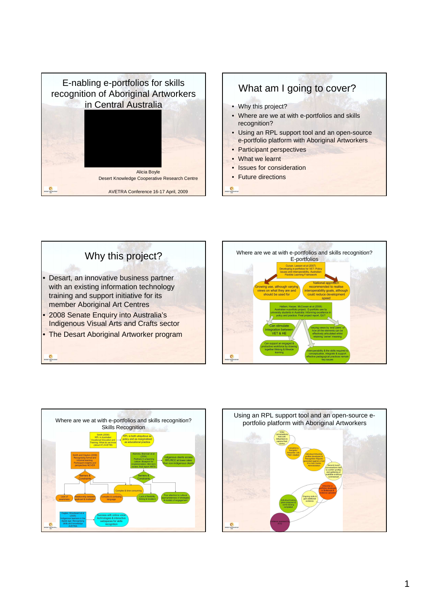

## What am I going to cover? • Why this project? • Where are we at with e-portfolios and skills recognition? • Using an RPL support tool and an open-source e-portfolio platform with Aboriginal Artworkers • Participant perspectives • What we learnt • Issues for consideration • Future directions







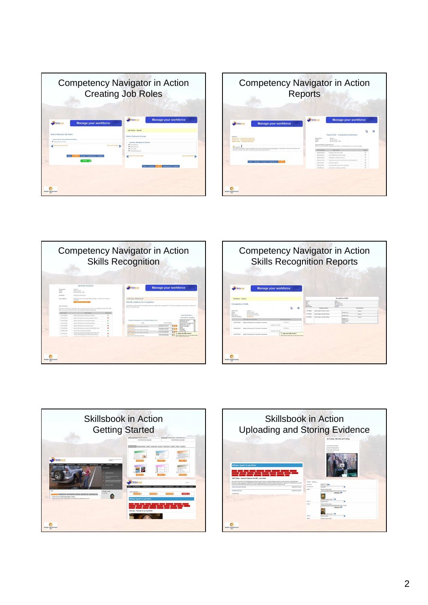| <b>Competency Navigator in Action</b><br><b>Creating Job Roles</b>                                                                          |                                                                                                                                                                                    |  |
|---------------------------------------------------------------------------------------------------------------------------------------------|------------------------------------------------------------------------------------------------------------------------------------------------------------------------------------|--|
| Manage your workforce<br>Skillsbook<br>Select Relevant, Job Roles<br>Please check each refewant Job Roles:<br>R. discourse personal         | Manage your workforce<br>Skillsbook<br>Job Roles - Saved<br>Select Relevant Groups<br>July Robert Abertoland Art Workert                                                           |  |
| <b>Kove and Continue II</b><br><b>Dack to Freehous Page</b><br>Green Compatincies Reports<br>News Bob Roles<br>Tinish (<br>DESERT KNOWLEDGE | R. Att election<br>R am statives<br>R. Core snits<br>R tryarted steatures<br><b>Back to Previous Page</b><br><b>Save and Continue</b><br>Nevas   Jub Enley<br>Competencies Engants |  |